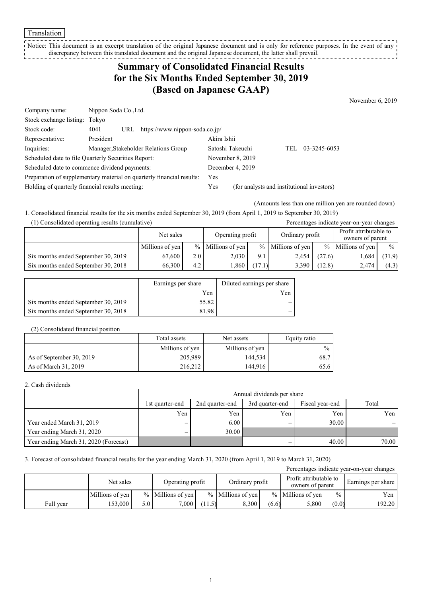Translation

Notice: This document is an excerpt translation of the original Japanese document and is only for reference purposes. In the event of any discrepancy between this translated document and the original Japanese document, the latter shall prevail.

## **Summary of Consolidated Financial Results for the Six Months Ended September 30, 2019 (Based on Japanese GAAP)**

November 6, 2019

| Company name:                                                         | Nippon Soda Co., Ltd. |     |                                      |                                            |                  |     |              |
|-----------------------------------------------------------------------|-----------------------|-----|--------------------------------------|--------------------------------------------|------------------|-----|--------------|
| Stock exchange listing: Tokyo                                         |                       |     |                                      |                                            |                  |     |              |
| Stock code:                                                           | 4041                  | URL | https://www.nippon-soda.co.jp/       |                                            |                  |     |              |
| Representative:                                                       | President             |     |                                      | Akira Ishii                                |                  |     |              |
| Inquiries:                                                            |                       |     | Manager, Stakeholder Relations Group |                                            | Satoshi Takeuchi | TEL | 03-3245-6053 |
| Scheduled date to file Quarterly Securities Report:                   |                       |     | November 8, 2019                     |                                            |                  |     |              |
| Scheduled date to commence dividend payments:                         |                       |     | December 4, 2019                     |                                            |                  |     |              |
| Preparation of supplementary material on quarterly financial results: |                       |     | Yes                                  |                                            |                  |     |              |
| Holding of quarterly financial results meeting:                       |                       |     | Yes                                  | (for analysts and institutional investors) |                  |     |              |

(Amounts less than one million yen are rounded down)

1. Consolidated financial results for the six months ended September 30, 2019 (from April 1, 2019 to September 30, 2019)

| (1) Consolidated operating results (cumulative) |                 |                  |                     |        |                     |        | Percentages indicate year-on-year changes  |               |
|-------------------------------------------------|-----------------|------------------|---------------------|--------|---------------------|--------|--------------------------------------------|---------------|
|                                                 | Net sales       |                  | Operating profit    |        | Ordinary profit     |        | Profit attributable to<br>owners of parent |               |
|                                                 | Millions of yen |                  | $%$ Millions of yen |        | $%$ Millions of yen |        | $%$ Millions of yen                        | $\frac{0}{0}$ |
| Six months ended September 30, 2019             | 67,600          | 2.0 <sub>1</sub> | 2.030               | 9.1    | 2,454               | (27.6) | 1.684                                      | (31.9)        |
| Six months ended September 30, 2018             | 66,300          | 4.2 <sub>1</sub> | 1,860               | (17.1) | 3,390               | (12.8) | 2.474                                      | (4.3)         |

|                                     | Earnings per share | Diluted earnings per share |
|-------------------------------------|--------------------|----------------------------|
|                                     | Yen                | Yen                        |
| Six months ended September 30, 2019 | 55.82              |                            |
| Six months ended September 30, 2018 | 81.98              |                            |

#### (2) Consolidated financial position

|                          | Total assets    | Net assets      | Equity ratio  |
|--------------------------|-----------------|-----------------|---------------|
|                          | Millions of yen | Millions of yen | $\frac{0}{0}$ |
| As of September 30, 2019 | 205,989         | 144,534         | 68.7          |
| As of March 31, 2019     | 216,212         | 144.916         | 65.6          |

### 2. Cash dividends

|                                       | Annual dividends per share |                 |                 |                 |       |  |  |  |
|---------------------------------------|----------------------------|-----------------|-----------------|-----------------|-------|--|--|--|
|                                       | 1st quarter-end            | 2nd quarter-end | 3rd quarter-end | Fiscal year-end | Total |  |  |  |
|                                       | Yen                        | Yen             | Yen             | Yen             | Yen   |  |  |  |
| Year ended March 31, 2019             | –                          | 6.00            |                 | 30.00           |       |  |  |  |
| Year ending March 31, 2020            | –                          | 30.00           |                 |                 |       |  |  |  |
| Year ending March 31, 2020 (Forecast) |                            |                 |                 | 40.00           | 70.00 |  |  |  |

### 3. Forecast of consolidated financial results for the year ending March 31, 2020 (from April 1, 2019 to March 31, 2020)

| Percentages indicate year-on-year changes |                 |     |                     |        |                       |       |                                            |               |                    |
|-------------------------------------------|-----------------|-----|---------------------|--------|-----------------------|-------|--------------------------------------------|---------------|--------------------|
|                                           | Net sales       |     | Operating profit    |        | Ordinary profit       |       | Profit attributable to<br>owners of parent |               | Earnings per share |
|                                           | Millions of yen |     | $%$ Millions of ven |        | $%$   Millions of ven |       | $%$ Millions of yen                        | $\frac{0}{0}$ | Yen                |
| Full year                                 | 53,000          | 5.0 | 7,000               | (11.5) | 8.300                 | (6.6) | 5,800                                      | (0.0)         | 192.20             |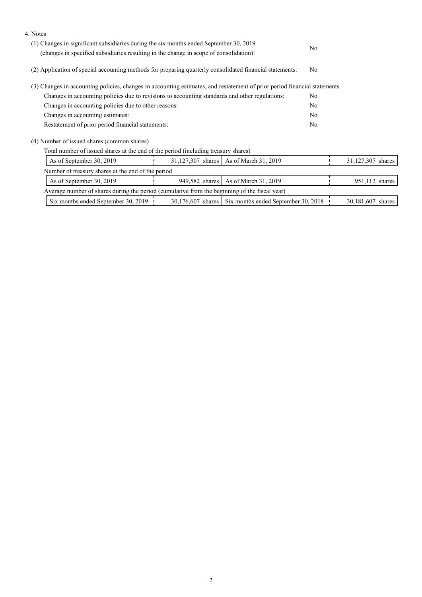| 4. Notes                                                                                                                                                                         |                   |                                                       |                |                   |  |
|----------------------------------------------------------------------------------------------------------------------------------------------------------------------------------|-------------------|-------------------------------------------------------|----------------|-------------------|--|
| (1) Changes in significant subsidiaries during the six months ended September 30, 2019<br>(changes in specified subsidiaries resulting in the change in scope of consolidation): |                   |                                                       |                |                   |  |
|                                                                                                                                                                                  |                   |                                                       |                |                   |  |
| (2) Application of special accounting methods for preparing quarterly consolidated financial statements:                                                                         | N <sub>o</sub>    |                                                       |                |                   |  |
| (3) Changes in accounting policies, changes in accounting estimates, and restatement of prior period financial statements                                                        |                   |                                                       |                |                   |  |
| Changes in accounting policies due to revisions to accounting standards and other regulations:                                                                                   |                   |                                                       | No             |                   |  |
| Changes in accounting policies due to other reasons:                                                                                                                             |                   | N <sub>o</sub>                                        |                |                   |  |
| Changes in accounting estimates:                                                                                                                                                 |                   | N <sub>o</sub>                                        |                |                   |  |
| Restatement of prior period financial statements:                                                                                                                                |                   |                                                       | N <sub>o</sub> |                   |  |
| (4) Number of issued shares (common shares)                                                                                                                                      |                   |                                                       |                |                   |  |
| Total number of issued shares at the end of the period (including treasury shares)                                                                                               |                   |                                                       |                |                   |  |
| As of September 30, 2019                                                                                                                                                         | 31,127,307 shares | As of March 31, 2019                                  |                | 31,127,307 shares |  |
| Number of treasury shares at the end of the period                                                                                                                               |                   |                                                       |                |                   |  |
| As of September 30, 2019                                                                                                                                                         | 949,582 shares    | As of March 31, 2019                                  |                | 951,112 shares    |  |
| Average number of shares during the period (cumulative from the beginning of the fiscal year)                                                                                    |                   |                                                       |                |                   |  |
| Six months ended September 30, 2019                                                                                                                                              |                   | 30,176,607 shares Six months ended September 30, 2018 |                | 30,181,607 shares |  |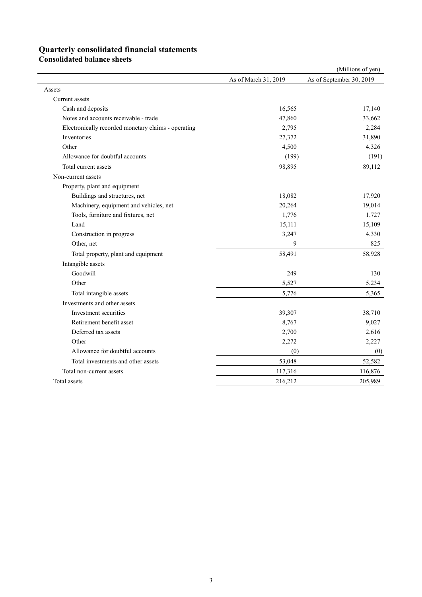# **Quarterly consolidated financial statements**

**Consolidated balance sheets** 

|                                                     |                      | (Millions of yen)        |
|-----------------------------------------------------|----------------------|--------------------------|
|                                                     | As of March 31, 2019 | As of September 30, 2019 |
| Assets                                              |                      |                          |
| Current assets                                      |                      |                          |
| Cash and deposits                                   | 16,565               | 17,140                   |
| Notes and accounts receivable - trade               | 47,860               | 33,662                   |
| Electronically recorded monetary claims - operating | 2,795                | 2,284                    |
| Inventories                                         | 27,372               | 31,890                   |
| Other                                               | 4,500                | 4,326                    |
| Allowance for doubtful accounts                     | (199)                | (191)                    |
| Total current assets                                | 98,895               | 89,112                   |
| Non-current assets                                  |                      |                          |
| Property, plant and equipment                       |                      |                          |
| Buildings and structures, net                       | 18,082               | 17,920                   |
| Machinery, equipment and vehicles, net              | 20,264               | 19,014                   |
| Tools, furniture and fixtures, net                  | 1,776                | 1,727                    |
| Land                                                | 15,111               | 15,109                   |
| Construction in progress                            | 3,247                | 4,330                    |
| Other, net                                          | 9                    | 825                      |
| Total property, plant and equipment                 | 58,491               | 58,928                   |
| Intangible assets                                   |                      |                          |
| Goodwill                                            | 249                  | 130                      |
| Other                                               | 5,527                | 5,234                    |
| Total intangible assets                             | 5,776                | 5,365                    |
| Investments and other assets                        |                      |                          |
| Investment securities                               | 39,307               | 38,710                   |
| Retirement benefit asset                            | 8,767                | 9,027                    |
| Deferred tax assets                                 | 2,700                | 2,616                    |
| Other                                               | 2,272                | 2,227                    |
| Allowance for doubtful accounts                     | (0)                  | (0)                      |
| Total investments and other assets                  | 53,048               | 52,582                   |
| Total non-current assets                            | 117,316              | 116,876                  |
| Total assets                                        | 216,212              | 205,989                  |
|                                                     |                      |                          |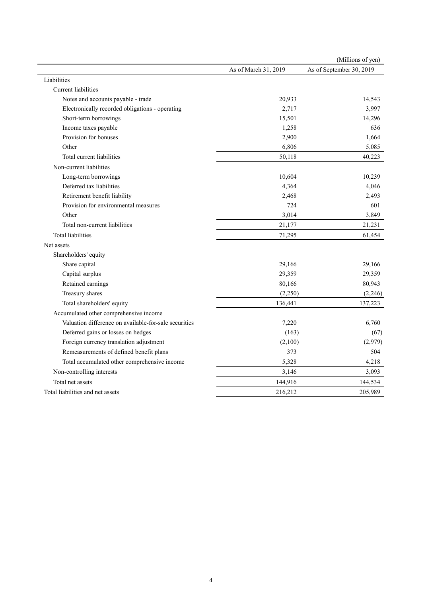|                                                       |                      | (Millions of yen)        |
|-------------------------------------------------------|----------------------|--------------------------|
|                                                       | As of March 31, 2019 | As of September 30, 2019 |
| Liabilities                                           |                      |                          |
| Current liabilities                                   |                      |                          |
| Notes and accounts payable - trade                    | 20,933               | 14,543                   |
| Electronically recorded obligations - operating       | 2,717                | 3,997                    |
| Short-term borrowings                                 | 15,501               | 14,296                   |
| Income taxes payable                                  | 1,258                | 636                      |
| Provision for bonuses                                 | 2,900                | 1,664                    |
| Other                                                 | 6,806                | 5,085                    |
| Total current liabilities                             | 50,118               | 40,223                   |
| Non-current liabilities                               |                      |                          |
| Long-term borrowings                                  | 10,604               | 10,239                   |
| Deferred tax liabilities                              | 4,364                | 4,046                    |
| Retirement benefit liability                          | 2,468                | 2,493                    |
| Provision for environmental measures                  | 724                  | 601                      |
| Other                                                 | 3,014                | 3,849                    |
| Total non-current liabilities                         | 21,177               | 21,231                   |
| <b>Total liabilities</b>                              | 71,295               | 61,454                   |
| Net assets                                            |                      |                          |
| Shareholders' equity                                  |                      |                          |
| Share capital                                         | 29,166               | 29,166                   |
| Capital surplus                                       | 29,359               | 29,359                   |
| Retained earnings                                     | 80,166               | 80,943                   |
| Treasury shares                                       | (2,250)              | (2, 246)                 |
| Total shareholders' equity                            | 136,441              | 137,223                  |
| Accumulated other comprehensive income                |                      |                          |
| Valuation difference on available-for-sale securities | 7,220                | 6,760                    |
| Deferred gains or losses on hedges                    | (163)                | (67)                     |
| Foreign currency translation adjustment               | (2,100)              | (2,979)                  |
| Remeasurements of defined benefit plans               | 373                  | 504                      |
| Total accumulated other comprehensive income          | 5,328                | 4,218                    |
| Non-controlling interests                             | 3,146                | 3,093                    |
| Total net assets                                      | 144,916              | 144,534                  |
| Total liabilities and net assets                      | 216,212              | 205,989                  |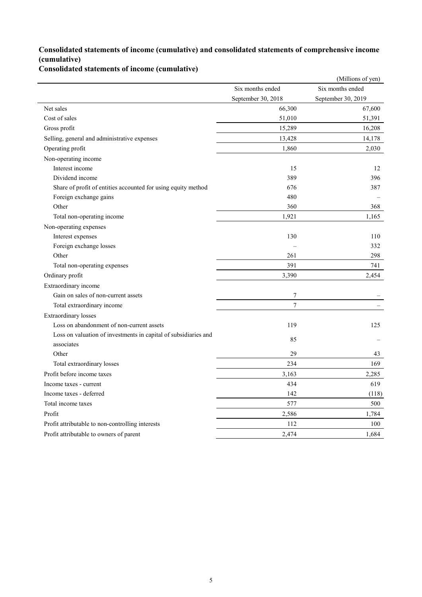## **Consolidated statements of income (cumulative) and consolidated statements of comprehensive income (cumulative)**

**Consolidated statements of income (cumulative)**

|                                                                               |                    | (Millions of yen)  |
|-------------------------------------------------------------------------------|--------------------|--------------------|
|                                                                               | Six months ended   | Six months ended   |
|                                                                               | September 30, 2018 | September 30, 2019 |
| Net sales                                                                     | 66,300             | 67,600             |
| Cost of sales                                                                 | 51,010             | 51,391             |
| Gross profit                                                                  | 15,289             | 16,208             |
| Selling, general and administrative expenses                                  | 13,428             | 14,178             |
| Operating profit                                                              | 1,860              | 2,030              |
| Non-operating income                                                          |                    |                    |
| Interest income                                                               | 15                 | 12                 |
| Dividend income                                                               | 389                | 396                |
| Share of profit of entities accounted for using equity method                 | 676                | 387                |
| Foreign exchange gains                                                        | 480                |                    |
| Other                                                                         | 360                | 368                |
| Total non-operating income                                                    | 1,921              | 1,165              |
| Non-operating expenses                                                        |                    |                    |
| Interest expenses                                                             | 130                | 110                |
| Foreign exchange losses                                                       |                    | 332                |
| Other                                                                         | 261                | 298                |
| Total non-operating expenses                                                  | 391                | 741                |
| Ordinary profit                                                               | 3,390              | 2,454              |
| Extraordinary income                                                          |                    |                    |
| Gain on sales of non-current assets                                           | 7                  |                    |
| Total extraordinary income                                                    | $\overline{7}$     |                    |
| <b>Extraordinary losses</b>                                                   |                    |                    |
| Loss on abandonment of non-current assets                                     | 119                | 125                |
| Loss on valuation of investments in capital of subsidiaries and<br>associates | 85                 |                    |
| Other                                                                         | 29                 | 43                 |
| Total extraordinary losses                                                    | 234                | 169                |
| Profit before income taxes                                                    | 3,163              | 2.285              |
| Income taxes - current                                                        | 434                | 619                |
| Income taxes - deferred                                                       | 142                | (118)              |
| Total income taxes                                                            | 577                | 500                |
| Profit                                                                        | 2,586              | 1,784              |
| Profit attributable to non-controlling interests                              | 112                | 100                |
| Profit attributable to owners of parent                                       | 2,474              | 1,684              |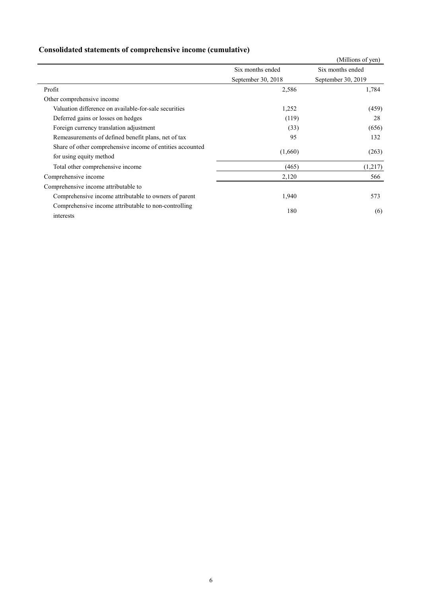| Consolidated statements of comprehensive income (cumulative) |  |  |
|--------------------------------------------------------------|--|--|
|                                                              |  |  |

|                                                           |                    | (Millions of yen)  |
|-----------------------------------------------------------|--------------------|--------------------|
|                                                           | Six months ended   | Six months ended   |
|                                                           | September 30, 2018 | September 30, 2019 |
| Profit                                                    | 2,586              | 1,784              |
| Other comprehensive income                                |                    |                    |
| Valuation difference on available-for-sale securities     | 1,252              | (459)              |
| Deferred gains or losses on hedges                        | (119)              | 28                 |
| Foreign currency translation adjustment                   | (33)               | (656)              |
| Remeasurements of defined benefit plans, net of tax       | 95                 | 132                |
| Share of other comprehensive income of entities accounted | (1,660)            |                    |
| for using equity method                                   |                    | (263)              |
| Total other comprehensive income                          | (465)              | (1,217)            |
| Comprehensive income                                      | 2,120              | 566                |
| Comprehensive income attributable to                      |                    |                    |
| Comprehensive income attributable to owners of parent     | 1,940              | 573                |
| Comprehensive income attributable to non-controlling      | 180                | (6)                |
| interests                                                 |                    |                    |